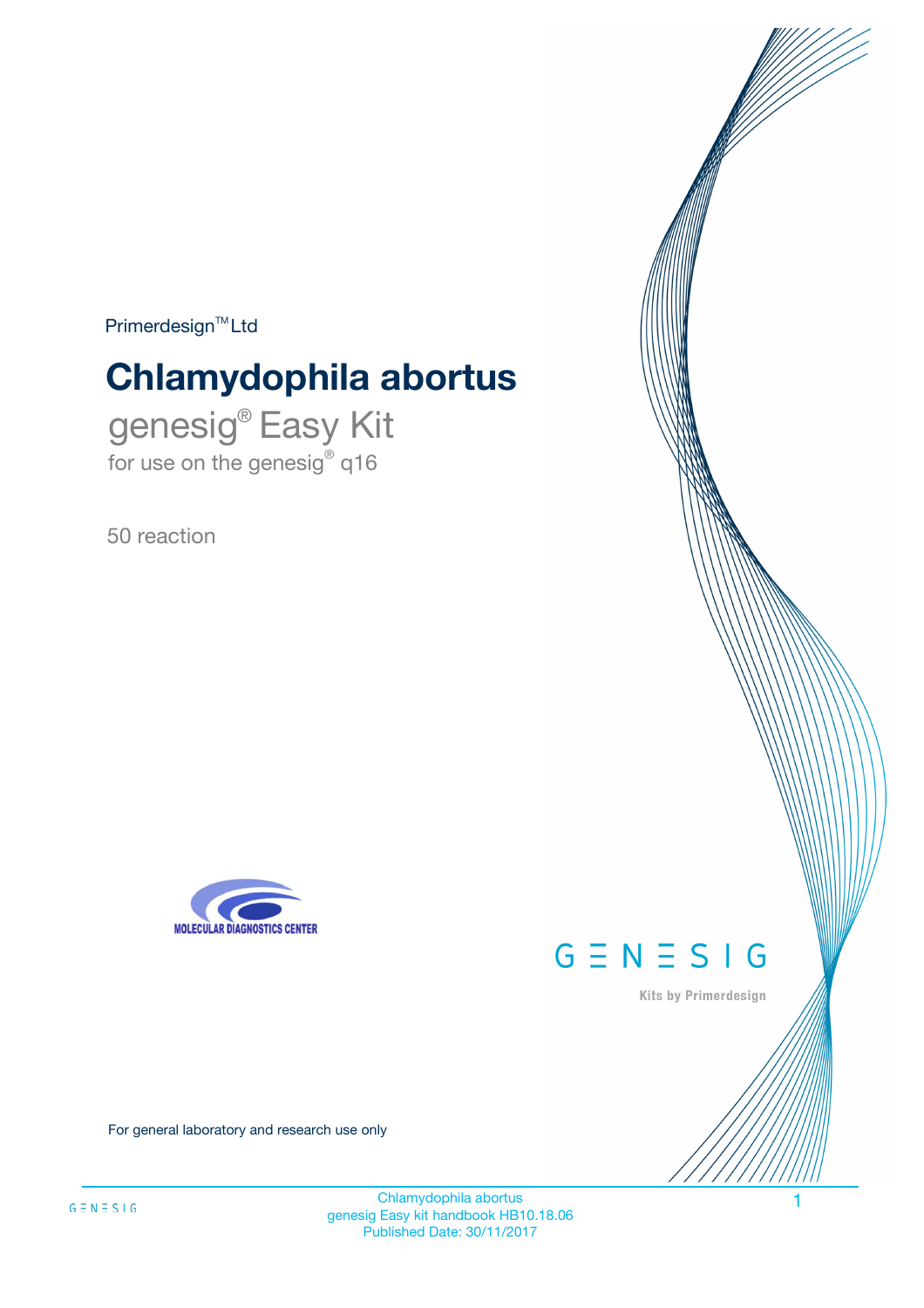$Primerdesign^{\text{TM}}Ltd$ 

# **Chlamydophila abortus**

genesig® Easy Kit for use on the genesig® q16

50 reaction





Kits by Primerdesign

For general laboratory and research use only

Chlamydophila abortus 1 genesig Easy kit handbook HB10.18.06 Published Date: 30/11/2017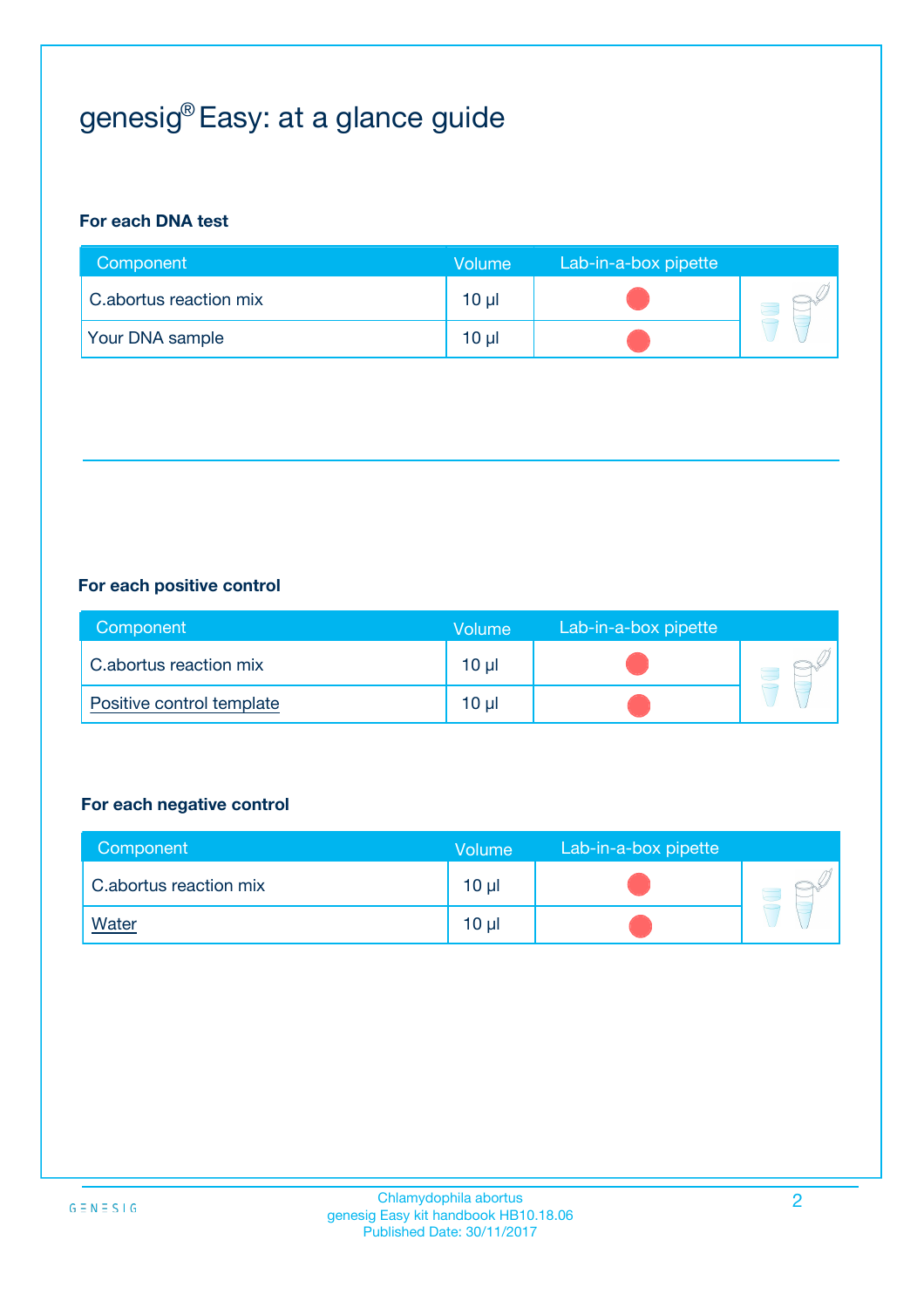## genesig® Easy: at a glance guide

## **For each DNA test**

| Component              | <b>Volume</b> | Lab-in-a-box pipette |  |
|------------------------|---------------|----------------------|--|
| C.abortus reaction mix | 10 µl         |                      |  |
| <b>Your DNA sample</b> | 10 µl         |                      |  |

### **For each positive control**

| Component                 | Volume   | Lab-in-a-box pipette |  |
|---------------------------|----------|----------------------|--|
| C.abortus reaction mix    | $10 \mu$ |                      |  |
| Positive control template | $10 \mu$ |                      |  |

### **For each negative control**

| Component              | <b>Volume</b>   | Lab-in-a-box pipette |  |
|------------------------|-----------------|----------------------|--|
| C.abortus reaction mix | 10 <sub>µ</sub> |                      |  |
| <u>Water</u>           | 10 <sub>µ</sub> |                      |  |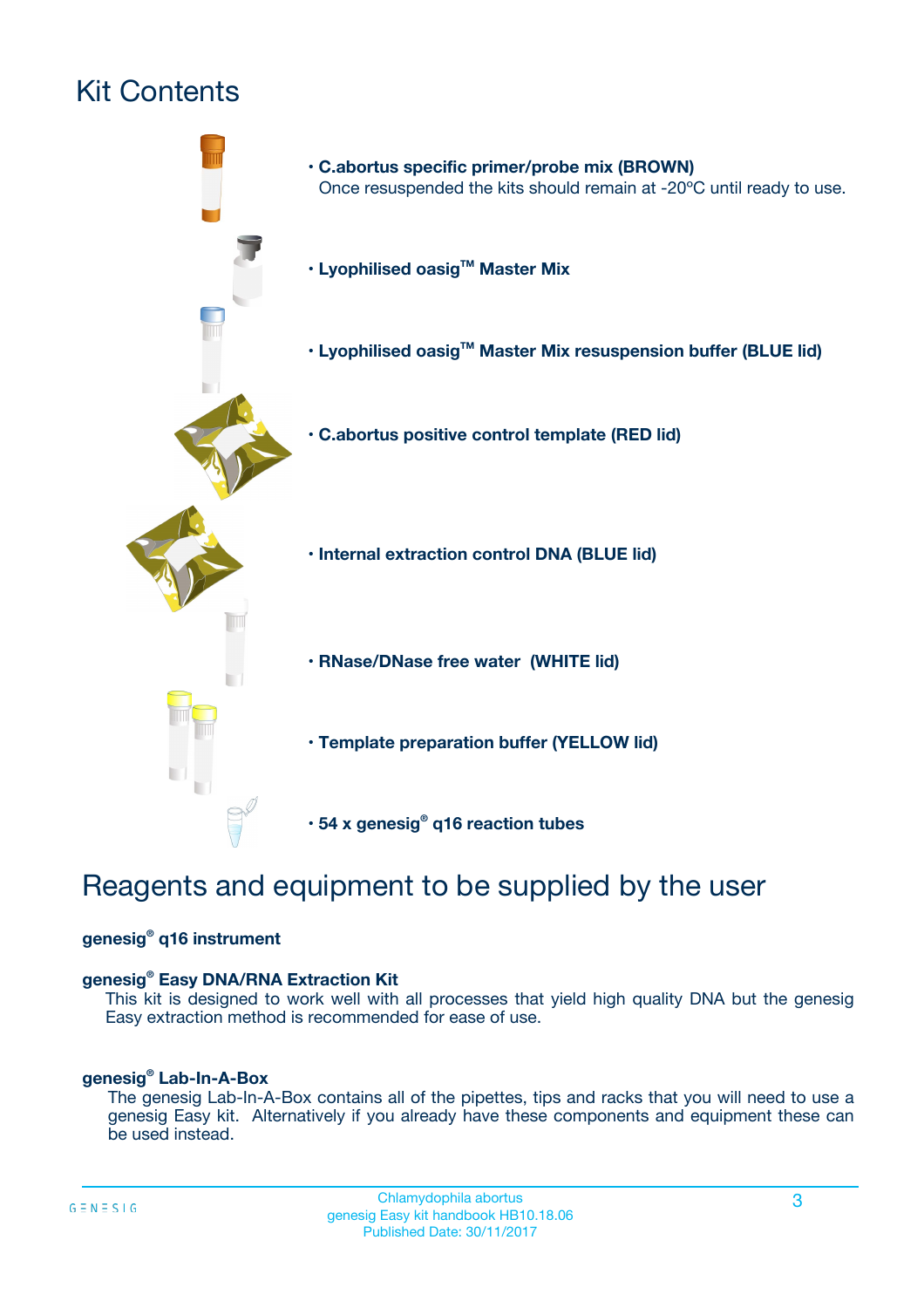## Kit Contents



## Reagents and equipment to be supplied by the user

### **genesig® q16 instrument**

### **genesig® Easy DNA/RNA Extraction Kit**

This kit is designed to work well with all processes that yield high quality DNA but the genesig Easy extraction method is recommended for ease of use.

### **genesig® Lab-In-A-Box**

The genesig Lab-In-A-Box contains all of the pipettes, tips and racks that you will need to use a genesig Easy kit. Alternatively if you already have these components and equipment these can be used instead.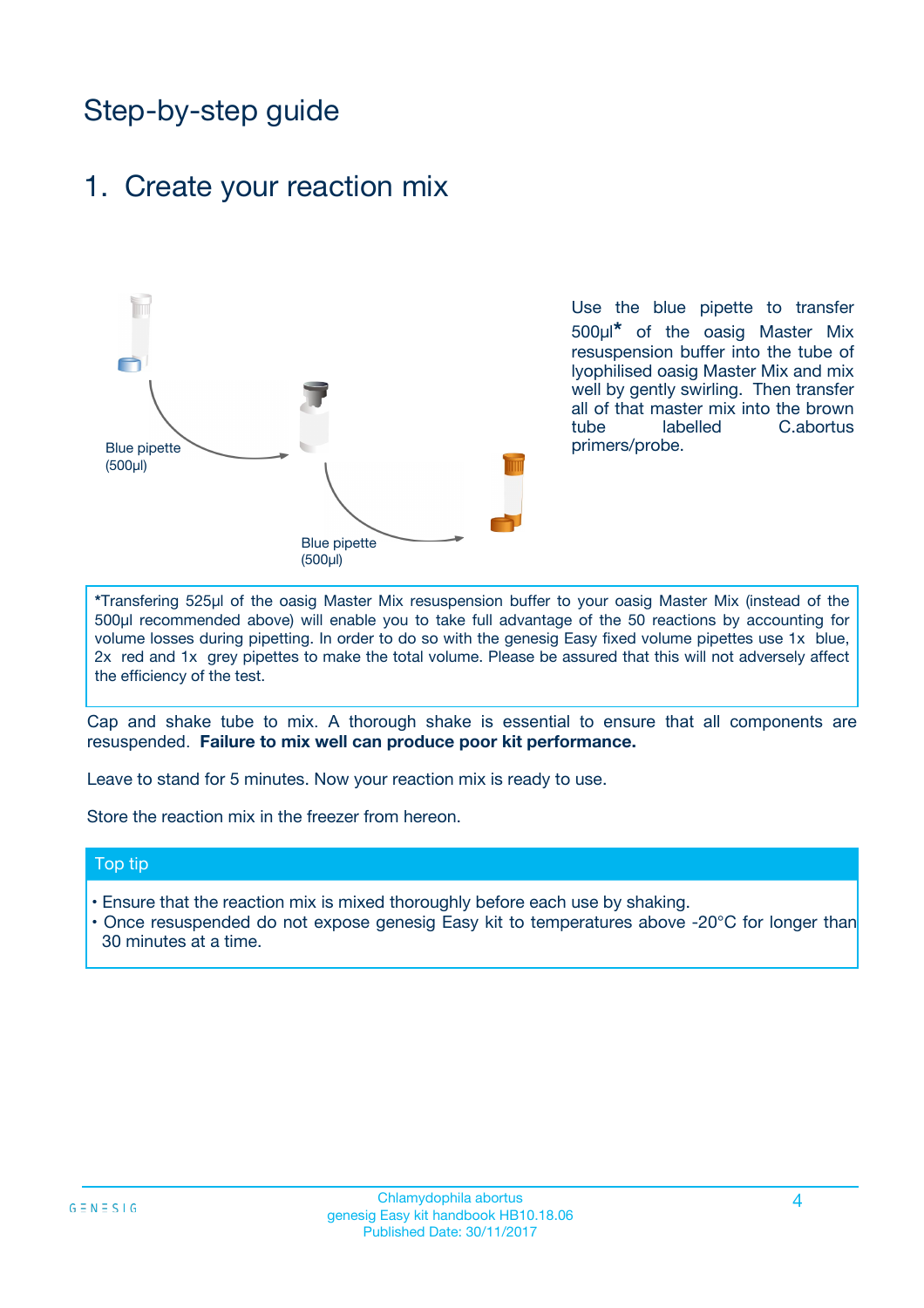## Step-by-step guide

## 1. Create your reaction mix



Use the blue pipette to transfer 500µl**\*** of the oasig Master Mix resuspension buffer into the tube of lyophilised oasig Master Mix and mix well by gently swirling. Then transfer all of that master mix into the brown tube labelled C.abortus primers/probe.

**\***Transfering 525µl of the oasig Master Mix resuspension buffer to your oasig Master Mix (instead of the 500µl recommended above) will enable you to take full advantage of the 50 reactions by accounting for volume losses during pipetting. In order to do so with the genesig Easy fixed volume pipettes use 1x blue, 2x red and 1x grey pipettes to make the total volume. Please be assured that this will not adversely affect the efficiency of the test.

Cap and shake tube to mix. A thorough shake is essential to ensure that all components are resuspended. **Failure to mix well can produce poor kit performance.**

Leave to stand for 5 minutes. Now your reaction mix is ready to use.

Store the reaction mix in the freezer from hereon.

### Top tip

- Ensure that the reaction mix is mixed thoroughly before each use by shaking.
- Once resuspended do not expose genesig Easy kit to temperatures above -20°C for longer than 30 minutes at a time.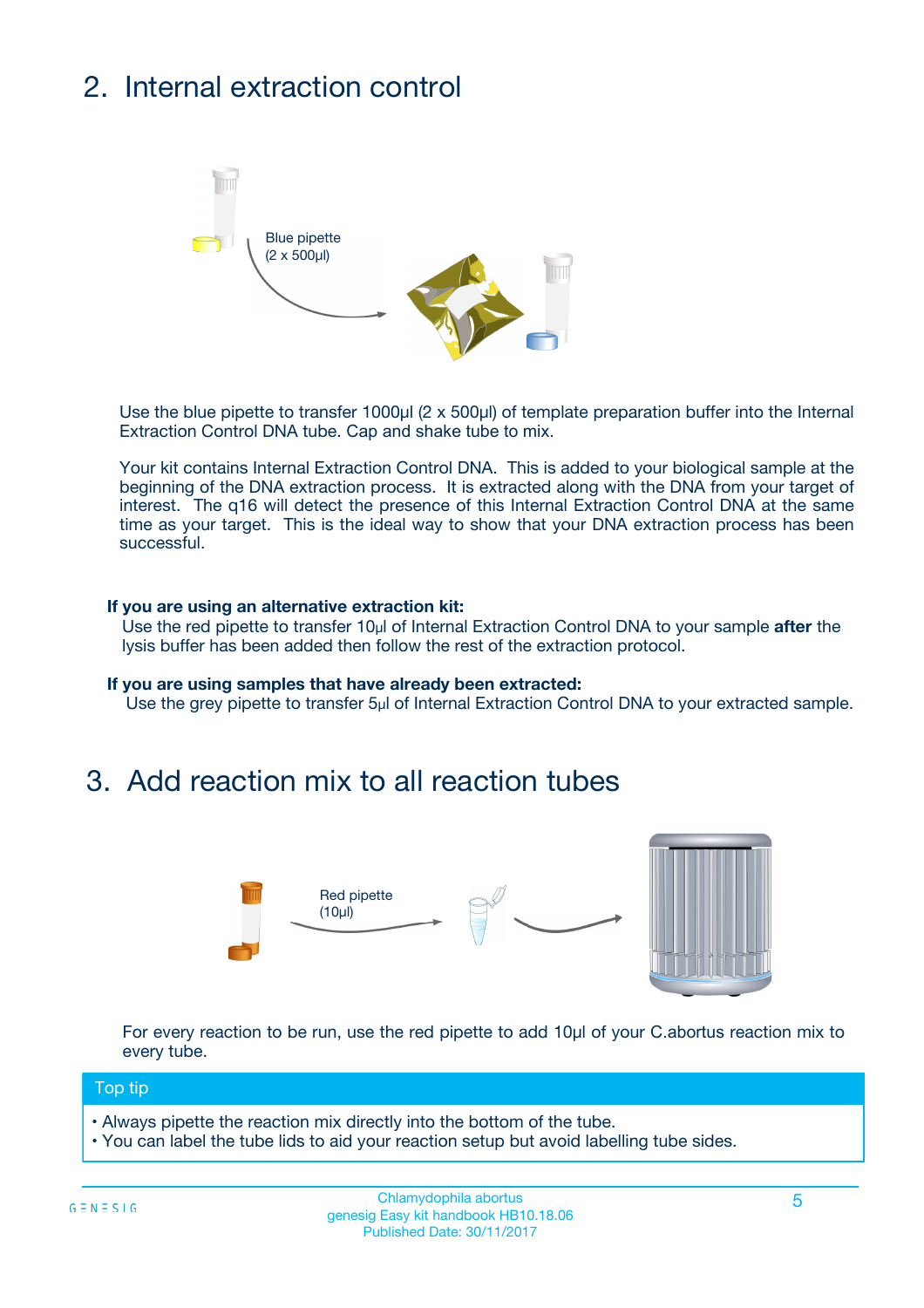## 2. Internal extraction control



Use the blue pipette to transfer 1000µl (2 x 500µl) of template preparation buffer into the Internal Extraction Control DNA tube. Cap and shake tube to mix.

Your kit contains Internal Extraction Control DNA. This is added to your biological sample at the beginning of the DNA extraction process. It is extracted along with the DNA from your target of interest. The q16 will detect the presence of this Internal Extraction Control DNA at the same time as your target. This is the ideal way to show that your DNA extraction process has been successful.

### **If you are using an alternative extraction kit:**

Use the red pipette to transfer 10µl of Internal Extraction Control DNA to your sample **after** the lysis buffer has been added then follow the rest of the extraction protocol.

#### **If you are using samples that have already been extracted:**

Use the grey pipette to transfer 5µl of Internal Extraction Control DNA to your extracted sample.

## 3. Add reaction mix to all reaction tubes



For every reaction to be run, use the red pipette to add 10µl of your C.abortus reaction mix to every tube.

### Top tip

- Always pipette the reaction mix directly into the bottom of the tube.
- You can label the tube lids to aid your reaction setup but avoid labelling tube sides.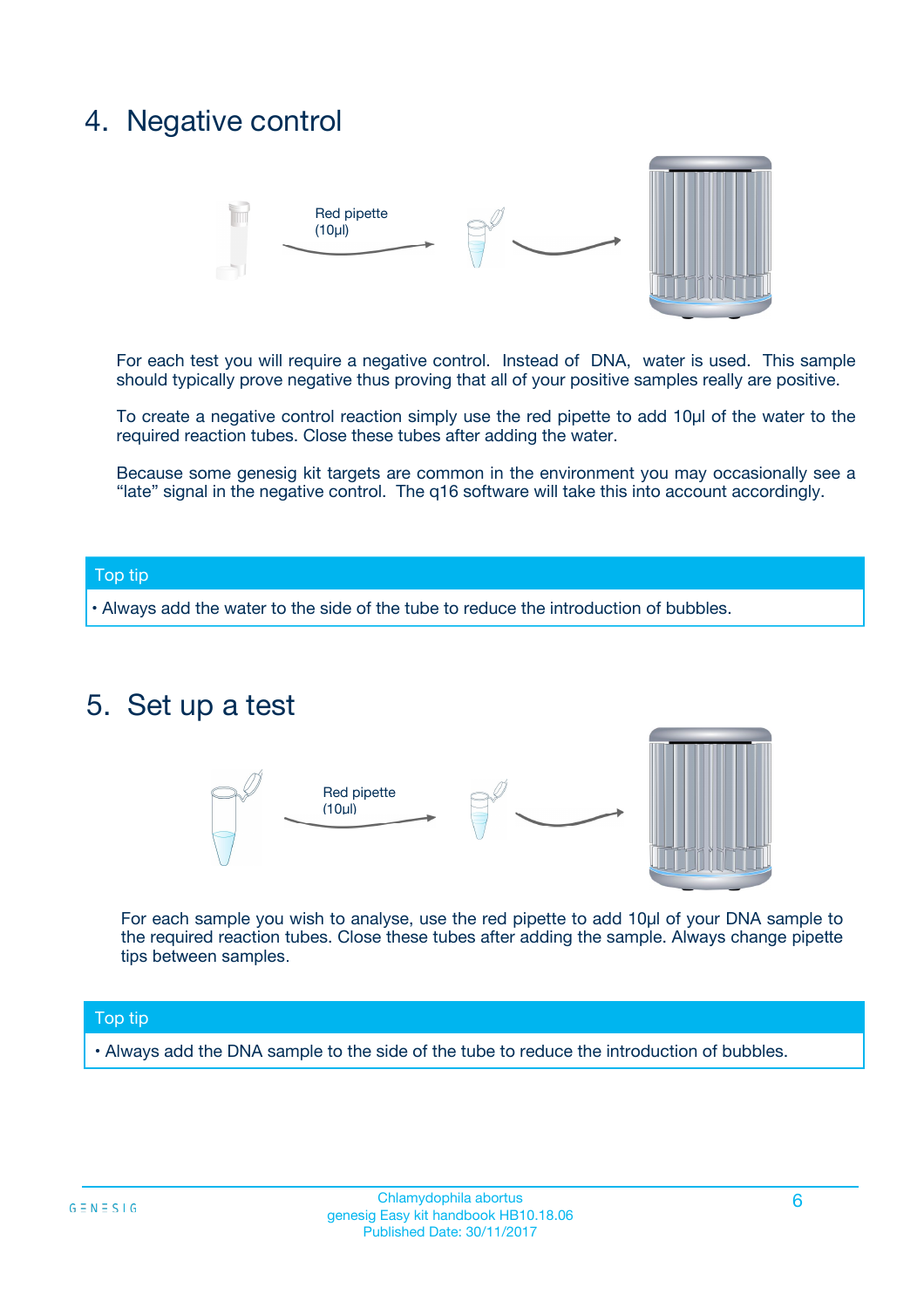## 4. Negative control



For each test you will require a negative control. Instead of DNA, water is used. This sample should typically prove negative thus proving that all of your positive samples really are positive.

To create a negative control reaction simply use the red pipette to add 10µl of the water to the required reaction tubes. Close these tubes after adding the water.

Because some genesig kit targets are common in the environment you may occasionally see a "late" signal in the negative control. The q16 software will take this into account accordingly.

### Top tip

**•** Always add the water to the side of the tube to reduce the introduction of bubbles.

## 5. Set up a test



For each sample you wish to analyse, use the red pipette to add 10µl of your DNA sample to the required reaction tubes. Close these tubes after adding the sample. Always change pipette tips between samples.

### Top tip

**•** Always add the DNA sample to the side of the tube to reduce the introduction of bubbles.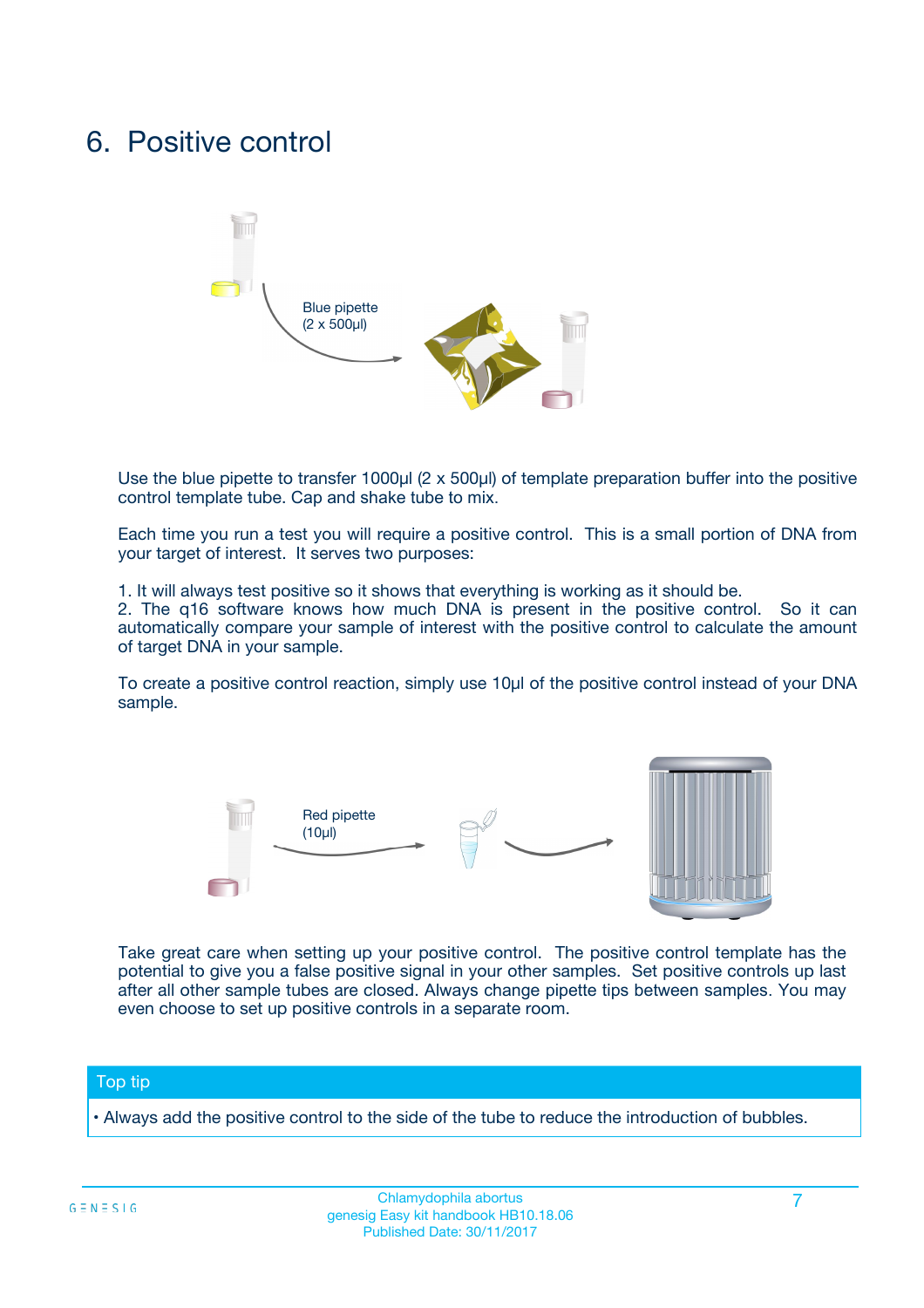## 6. Positive control



Use the blue pipette to transfer 1000µl (2 x 500µl) of template preparation buffer into the positive control template tube. Cap and shake tube to mix.

Each time you run a test you will require a positive control. This is a small portion of DNA from your target of interest. It serves two purposes:

1. It will always test positive so it shows that everything is working as it should be.

2. The q16 software knows how much DNA is present in the positive control. So it can automatically compare your sample of interest with the positive control to calculate the amount of target DNA in your sample.

To create a positive control reaction, simply use 10µl of the positive control instead of your DNA sample.



Take great care when setting up your positive control. The positive control template has the potential to give you a false positive signal in your other samples. Set positive controls up last after all other sample tubes are closed. Always change pipette tips between samples. You may even choose to set up positive controls in a separate room.

### Top tip

**•** Always add the positive control to the side of the tube to reduce the introduction of bubbles.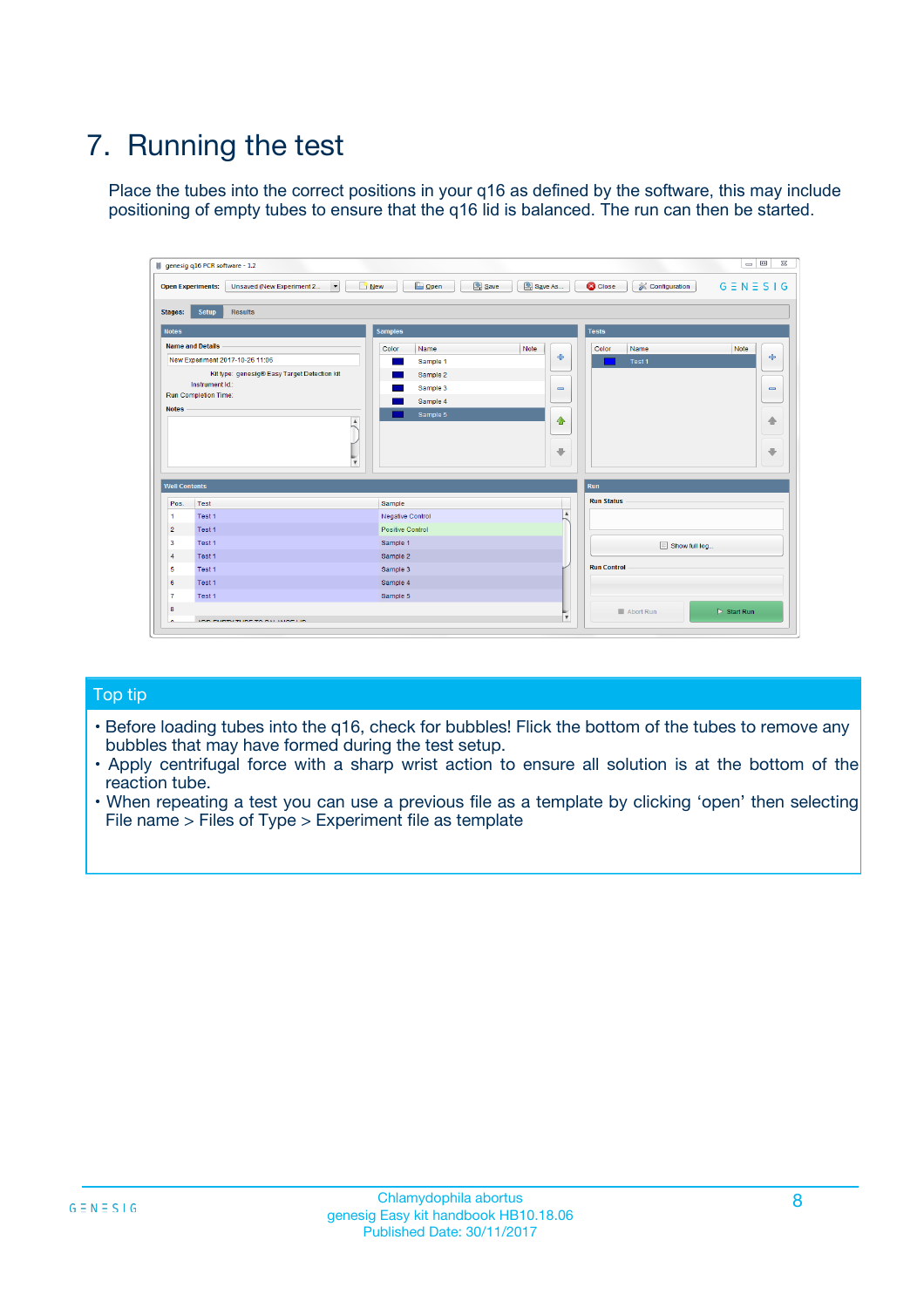## 7. Running the test

Place the tubes into the correct positions in your q16 as defined by the software, this may include positioning of empty tubes to ensure that the q16 lid is balanced. The run can then be started.

| genesig q16 PCR software - 1.2                                                    |                                                         | $\Box$ $\Box$                                                                               | $\Sigma\!3$                  |
|-----------------------------------------------------------------------------------|---------------------------------------------------------|---------------------------------------------------------------------------------------------|------------------------------|
| $\overline{\phantom{a}}$<br>Unsaved (New Experiment 2<br><b>Open Experiments:</b> | <b>B</b> Open<br>$\frac{1}{2}$ New                      | Save<br>Save As<br>$G \equiv N \equiv S \mid G$<br><b>C</b> Close<br><b>X</b> Configuration |                              |
| Setup<br><b>Results</b><br><b>Stages:</b>                                         |                                                         |                                                                                             |                              |
| <b>Notes</b>                                                                      | <b>Samples</b>                                          | <b>Tests</b>                                                                                |                              |
| <b>Name and Details</b>                                                           | Color<br>Name                                           | Note<br>Color<br>Name<br>Note                                                               |                              |
| New Experiment 2017-10-26 11:06                                                   | Sample 1                                                | $\oplus$<br>Test 1                                                                          | $\ddot{\Phi}$                |
| Kit type: genesig® Easy Target Detection kit                                      | Sample 2                                                |                                                                                             |                              |
| Instrument Id.:                                                                   | Sample 3                                                | $\qquad \qquad \blacksquare$                                                                | $\qquad \qquad \blacksquare$ |
| <b>Run Completion Time:</b><br><b>Notes</b>                                       | Sample 4                                                |                                                                                             |                              |
|                                                                                   | Sample 5<br>$\blacktriangle$<br>$\overline{\mathbf{v}}$ | $\triangle$<br>$\overline{\phantom{a}}$                                                     | ♠<br>⊕                       |
| <b>Well Contents</b>                                                              |                                                         | Run                                                                                         |                              |
| Pos.<br>Test                                                                      | Sample                                                  | <b>Run Status</b>                                                                           |                              |
| Test 1<br>$\mathbf{1}$                                                            | <b>Negative Control</b>                                 | $\overline{\phantom{a}}$                                                                    |                              |
| $\overline{2}$<br>Test 1                                                          | Positive Control                                        |                                                                                             |                              |
| $\overline{\mathbf{3}}$<br>Test 1                                                 | Sample 1                                                | Show full log                                                                               |                              |
| Test 1<br>$\overline{4}$                                                          | Sample 2                                                |                                                                                             |                              |
| 5<br>Test 1                                                                       | Sample 3                                                | <b>Run Control</b>                                                                          |                              |
| Test 1<br>6                                                                       | Sample 4                                                |                                                                                             |                              |
| Test 1<br>7                                                                       | Sample 5                                                |                                                                                             |                              |
| 8                                                                                 |                                                         | $\triangleright$ Start Run<br>Abort Run<br>v                                                |                              |
|                                                                                   |                                                         |                                                                                             |                              |

### Top tip

- Before loading tubes into the q16, check for bubbles! Flick the bottom of the tubes to remove any bubbles that may have formed during the test setup.
- Apply centrifugal force with a sharp wrist action to ensure all solution is at the bottom of the reaction tube.
- When repeating a test you can use a previous file as a template by clicking 'open' then selecting File name > Files of Type > Experiment file as template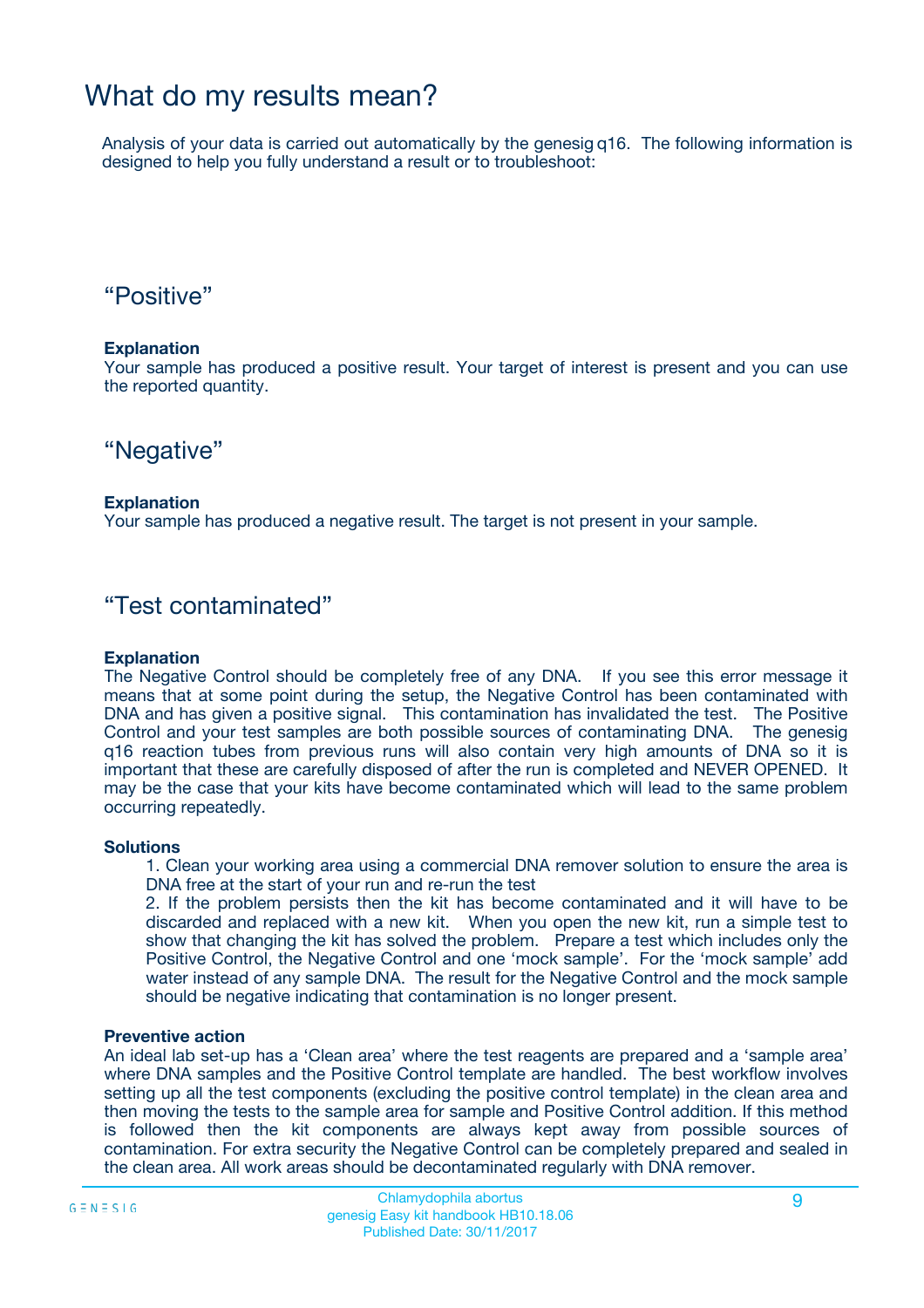## What do my results mean?

Analysis of your data is carried out automatically by the genesig q16. The following information is designed to help you fully understand a result or to troubleshoot:

## "Positive"

### **Explanation**

Your sample has produced a positive result. Your target of interest is present and you can use the reported quantity.

## "Negative"

### **Explanation**

Your sample has produced a negative result. The target is not present in your sample.

## "Test contaminated"

### **Explanation**

The Negative Control should be completely free of any DNA. If you see this error message it means that at some point during the setup, the Negative Control has been contaminated with DNA and has given a positive signal. This contamination has invalidated the test. The Positive Control and your test samples are both possible sources of contaminating DNA. The genesig q16 reaction tubes from previous runs will also contain very high amounts of DNA so it is important that these are carefully disposed of after the run is completed and NEVER OPENED. It may be the case that your kits have become contaminated which will lead to the same problem occurring repeatedly.

### **Solutions**

1. Clean your working area using a commercial DNA remover solution to ensure the area is DNA free at the start of your run and re-run the test

2. If the problem persists then the kit has become contaminated and it will have to be discarded and replaced with a new kit. When you open the new kit, run a simple test to show that changing the kit has solved the problem. Prepare a test which includes only the Positive Control, the Negative Control and one 'mock sample'. For the 'mock sample' add water instead of any sample DNA. The result for the Negative Control and the mock sample should be negative indicating that contamination is no longer present.

### **Preventive action**

An ideal lab set-up has a 'Clean area' where the test reagents are prepared and a 'sample area' where DNA samples and the Positive Control template are handled. The best workflow involves setting up all the test components (excluding the positive control template) in the clean area and then moving the tests to the sample area for sample and Positive Control addition. If this method is followed then the kit components are always kept away from possible sources of contamination. For extra security the Negative Control can be completely prepared and sealed in the clean area. All work areas should be decontaminated regularly with DNA remover.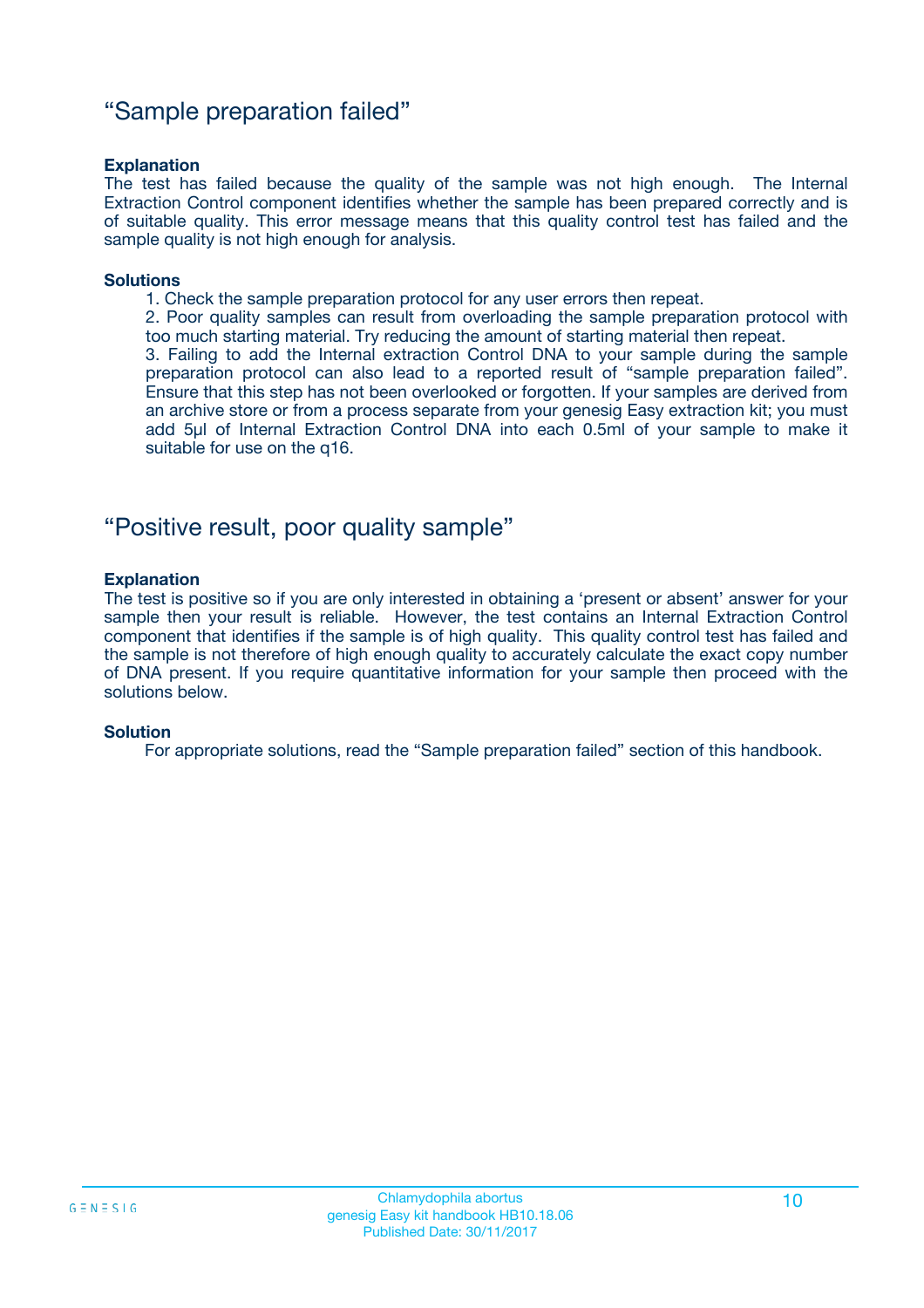## "Sample preparation failed"

### **Explanation**

The test has failed because the quality of the sample was not high enough. The Internal Extraction Control component identifies whether the sample has been prepared correctly and is of suitable quality. This error message means that this quality control test has failed and the sample quality is not high enough for analysis.

#### **Solutions**

1. Check the sample preparation protocol for any user errors then repeat.

2. Poor quality samples can result from overloading the sample preparation protocol with too much starting material. Try reducing the amount of starting material then repeat.

3. Failing to add the Internal extraction Control DNA to your sample during the sample preparation protocol can also lead to a reported result of "sample preparation failed". Ensure that this step has not been overlooked or forgotten. If your samples are derived from an archive store or from a process separate from your genesig Easy extraction kit; you must add 5µl of Internal Extraction Control DNA into each 0.5ml of your sample to make it suitable for use on the q16.

## "Positive result, poor quality sample"

### **Explanation**

The test is positive so if you are only interested in obtaining a 'present or absent' answer for your sample then your result is reliable. However, the test contains an Internal Extraction Control component that identifies if the sample is of high quality. This quality control test has failed and the sample is not therefore of high enough quality to accurately calculate the exact copy number of DNA present. If you require quantitative information for your sample then proceed with the solutions below.

### **Solution**

For appropriate solutions, read the "Sample preparation failed" section of this handbook.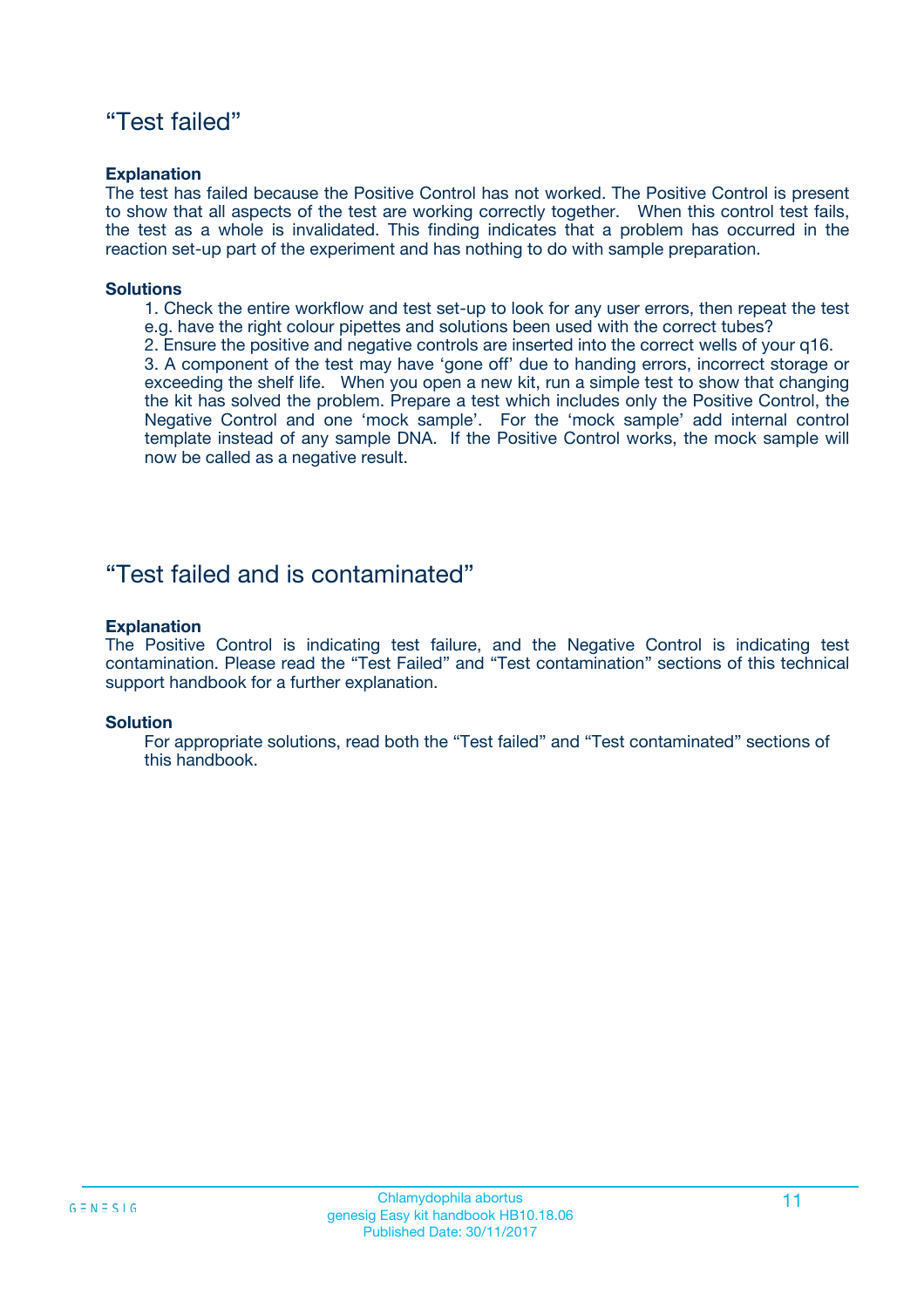## "Test failed"

### **Explanation**

The test has failed because the Positive Control has not worked. The Positive Control is present to show that all aspects of the test are working correctly together. When this control test fails, the test as a whole is invalidated. This finding indicates that a problem has occurred in the reaction set-up part of the experiment and has nothing to do with sample preparation.

### **Solutions**

- 1. Check the entire workflow and test set-up to look for any user errors, then repeat the test e.g. have the right colour pipettes and solutions been used with the correct tubes?
- 2. Ensure the positive and negative controls are inserted into the correct wells of your q16.

3. A component of the test may have 'gone off' due to handing errors, incorrect storage or exceeding the shelf life. When you open a new kit, run a simple test to show that changing the kit has solved the problem. Prepare a test which includes only the Positive Control, the Negative Control and one 'mock sample'. For the 'mock sample' add internal control template instead of any sample DNA. If the Positive Control works, the mock sample will now be called as a negative result.

## "Test failed and is contaminated"

### **Explanation**

The Positive Control is indicating test failure, and the Negative Control is indicating test contamination. Please read the "Test Failed" and "Test contamination" sections of this technical support handbook for a further explanation.

### **Solution**

For appropriate solutions, read both the "Test failed" and "Test contaminated" sections of this handbook.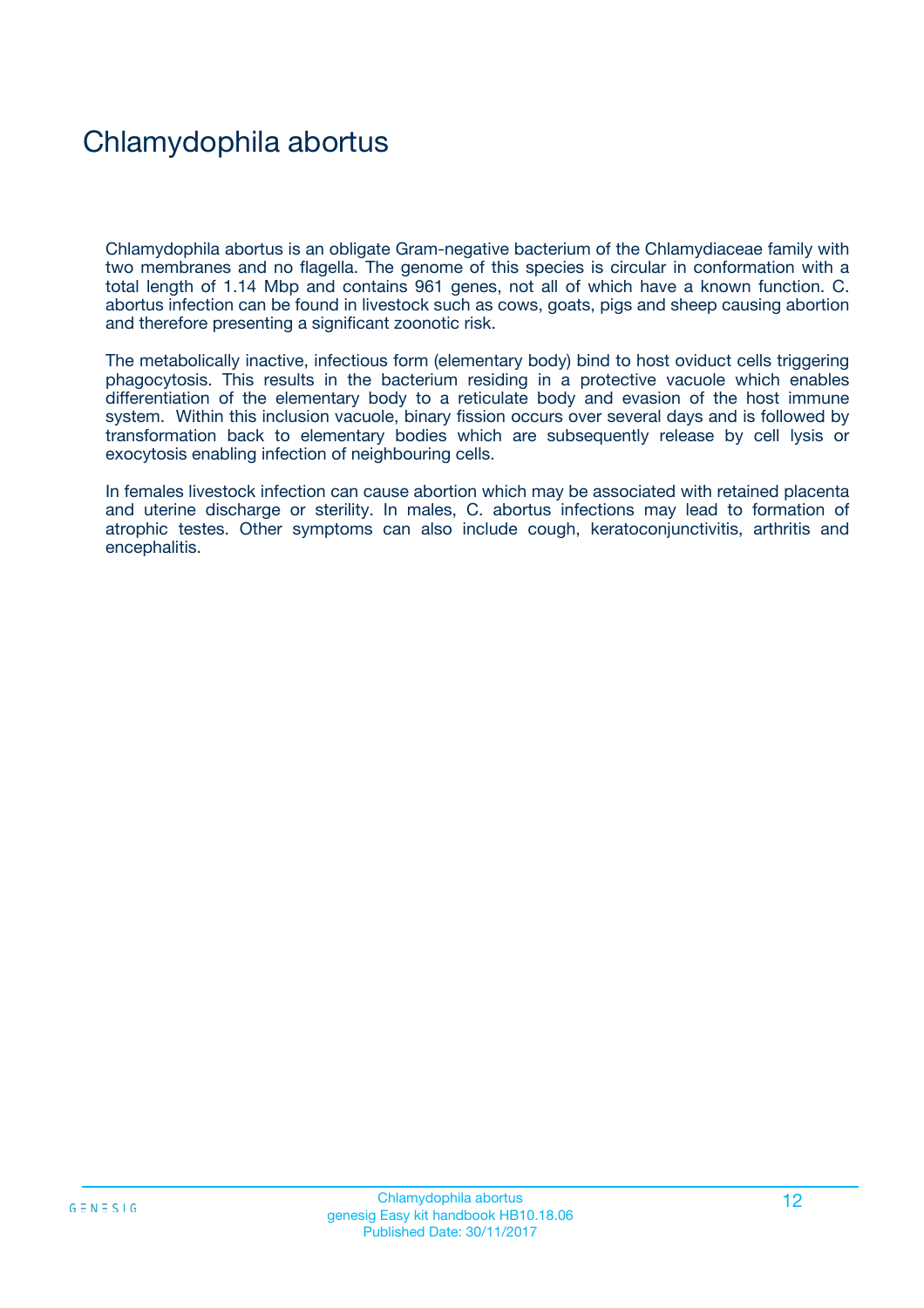## Chlamydophila abortus

Chlamydophila abortus is an obligate Gram-negative bacterium of the Chlamydiaceae family with two membranes and no flagella. The genome of this species is circular in conformation with a total length of 1.14 Mbp and contains 961 genes, not all of which have a known function. C. abortus infection can be found in livestock such as cows, goats, pigs and sheep causing abortion and therefore presenting a significant zoonotic risk.

The metabolically inactive, infectious form (elementary body) bind to host oviduct cells triggering phagocytosis. This results in the bacterium residing in a protective vacuole which enables differentiation of the elementary body to a reticulate body and evasion of the host immune system. Within this inclusion vacuole, binary fission occurs over several days and is followed by transformation back to elementary bodies which are subsequently release by cell lysis or exocytosis enabling infection of neighbouring cells.

In females livestock infection can cause abortion which may be associated with retained placenta and uterine discharge or sterility. In males, C. abortus infections may lead to formation of atrophic testes. Other symptoms can also include cough, keratoconjunctivitis, arthritis and encephalitis.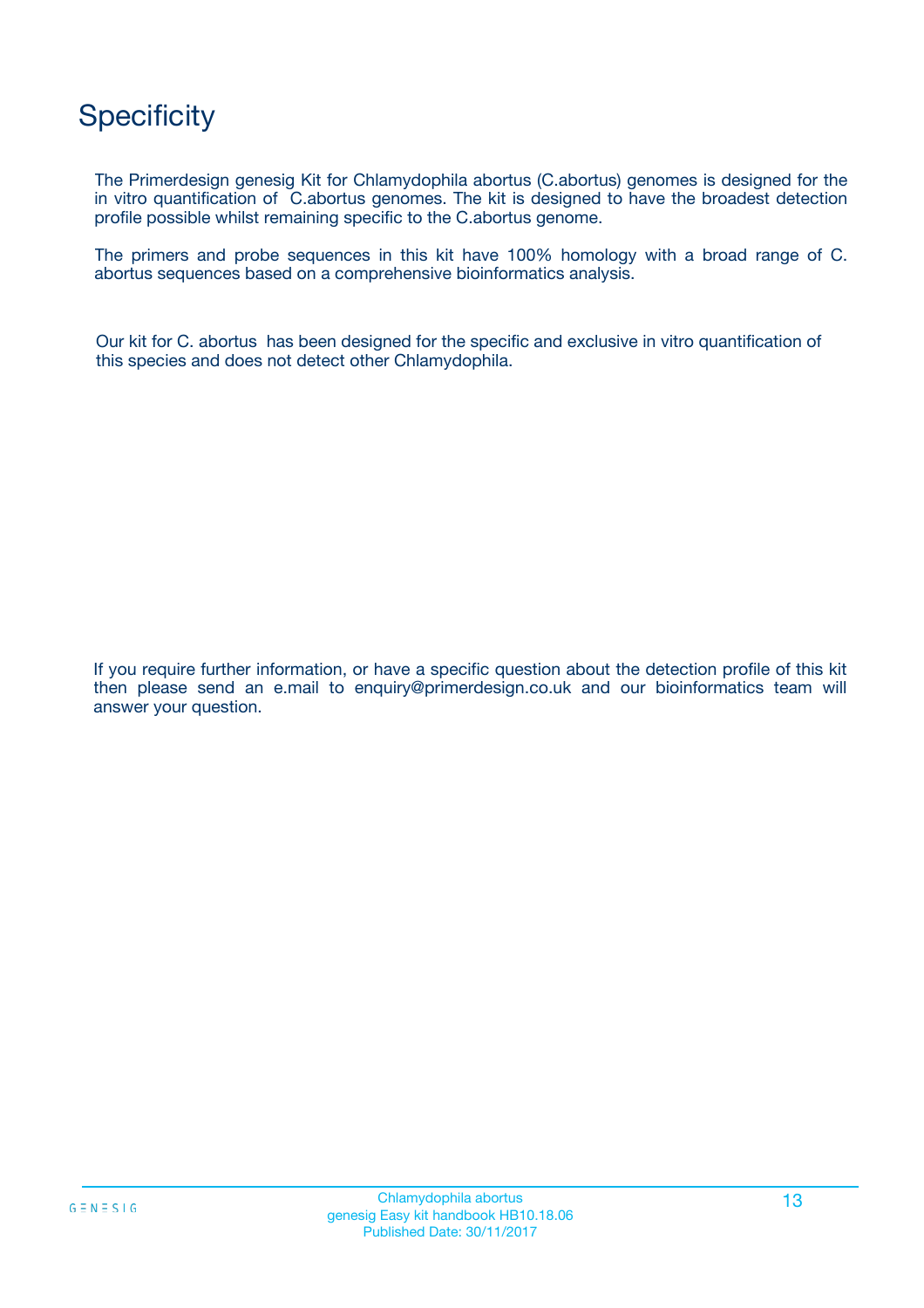## **Specificity**

The Primerdesign genesig Kit for Chlamydophila abortus (C.abortus) genomes is designed for the in vitro quantification of C.abortus genomes. The kit is designed to have the broadest detection profile possible whilst remaining specific to the C.abortus genome.

The primers and probe sequences in this kit have 100% homology with a broad range of C. abortus sequences based on a comprehensive bioinformatics analysis.

Our kit for C. abortus has been designed for the specific and exclusive in vitro quantification of this species and does not detect other Chlamydophila.

If you require further information, or have a specific question about the detection profile of this kit then please send an e.mail to enquiry@primerdesign.co.uk and our bioinformatics team will answer your question.